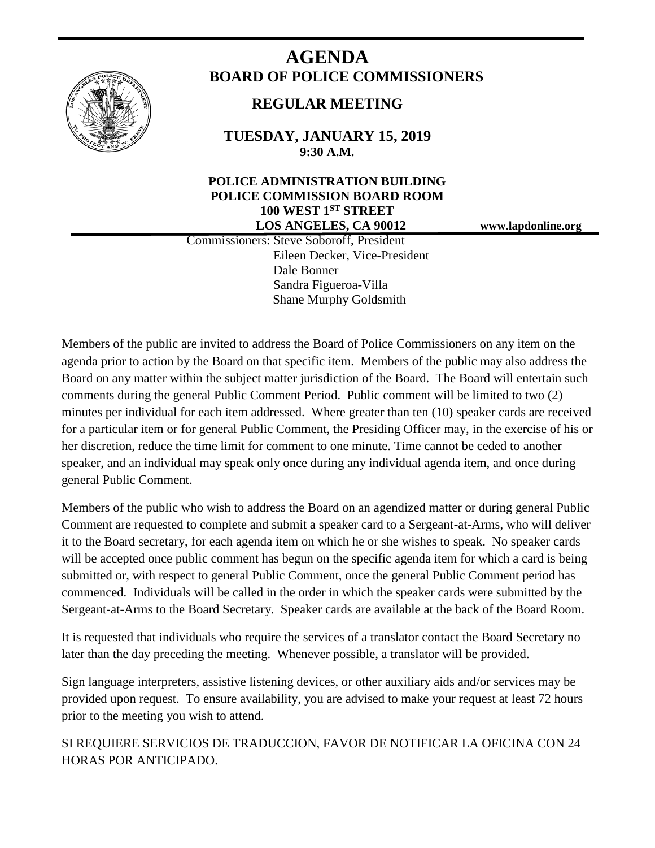

# **AGENDA BOARD OF POLICE COMMISSIONERS**

## **REGULAR MEETING**

**TUESDAY, JANUARY 15, 2019 9:30 A.M.**

### **POLICE ADMINISTRATION BUILDING POLICE COMMISSION BOARD ROOM 100 WEST 1ST STREET LOS ANGELES, CA 90012 www.lapdonline.org**

 Commissioners: Steve Soboroff, President Eileen Decker, Vice-President Dale Bonner Sandra Figueroa-Villa Shane Murphy Goldsmith

Members of the public are invited to address the Board of Police Commissioners on any item on the agenda prior to action by the Board on that specific item. Members of the public may also address the Board on any matter within the subject matter jurisdiction of the Board. The Board will entertain such comments during the general Public Comment Period. Public comment will be limited to two (2) minutes per individual for each item addressed. Where greater than ten (10) speaker cards are received for a particular item or for general Public Comment, the Presiding Officer may, in the exercise of his or her discretion, reduce the time limit for comment to one minute. Time cannot be ceded to another speaker, and an individual may speak only once during any individual agenda item, and once during general Public Comment.

Members of the public who wish to address the Board on an agendized matter or during general Public Comment are requested to complete and submit a speaker card to a Sergeant-at-Arms, who will deliver it to the Board secretary, for each agenda item on which he or she wishes to speak. No speaker cards will be accepted once public comment has begun on the specific agenda item for which a card is being submitted or, with respect to general Public Comment, once the general Public Comment period has commenced. Individuals will be called in the order in which the speaker cards were submitted by the Sergeant-at-Arms to the Board Secretary. Speaker cards are available at the back of the Board Room.

It is requested that individuals who require the services of a translator contact the Board Secretary no later than the day preceding the meeting. Whenever possible, a translator will be provided.

Sign language interpreters, assistive listening devices, or other auxiliary aids and/or services may be provided upon request. To ensure availability, you are advised to make your request at least 72 hours prior to the meeting you wish to attend.

SI REQUIERE SERVICIOS DE TRADUCCION, FAVOR DE NOTIFICAR LA OFICINA CON 24 HORAS POR ANTICIPADO.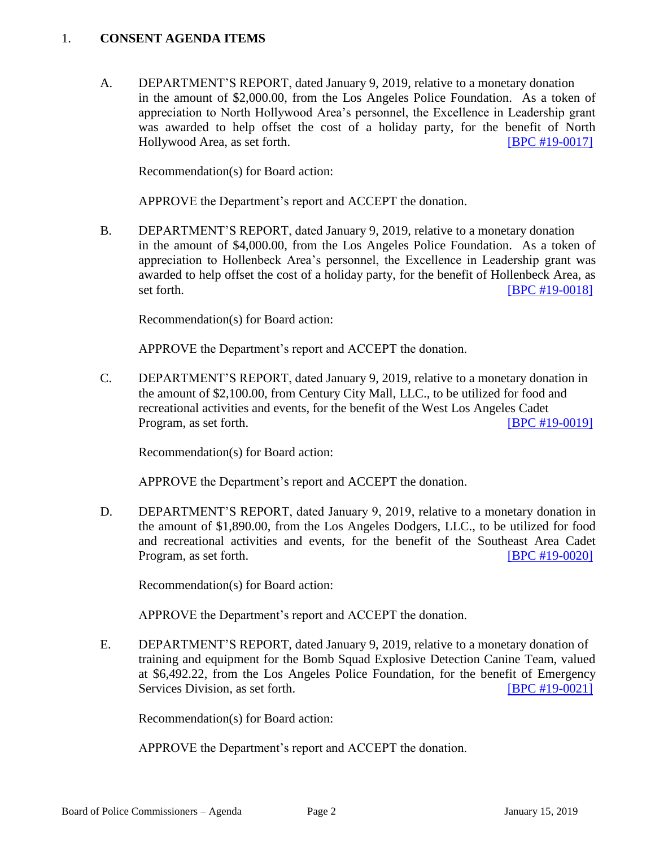#### 1. **CONSENT AGENDA ITEMS**

A. DEPARTMENT'S REPORT, dated January 9, 2019, relative to a monetary donation in the amount of \$2,000.00, from the Los Angeles Police Foundation. As a token of appreciation to North Hollywood Area's personnel, the Excellence in Leadership grant was awarded to help offset the cost of a holiday party, for the benefit of North Hollywood Area, as set forth. [\[BPC #19-0017\]](http://www.lapdpolicecom.lacity.org/011519/BPC_19-0017.pdf)

Recommendation(s) for Board action:

APPROVE the Department's report and ACCEPT the donation.

B. DEPARTMENT'S REPORT, dated January 9, 2019, relative to a monetary donation in the amount of \$4,000.00, from the Los Angeles Police Foundation. As a token of appreciation to Hollenbeck Area's personnel, the Excellence in Leadership grant was awarded to help offset the cost of a holiday party, for the benefit of Hollenbeck Area, as set forth. **IBPC #19-0018** 

Recommendation(s) for Board action:

APPROVE the Department's report and ACCEPT the donation.

C. DEPARTMENT'S REPORT, dated January 9, 2019, relative to a monetary donation in the amount of \$2,100.00, from Century City Mall, LLC., to be utilized for food and recreational activities and events, for the benefit of the West Los Angeles Cadet Program, as set forth. **[\[BPC #19-0019\]](http://www.lapdpolicecom.lacity.org/011519/BPC_19-0019.pdf)** 

Recommendation(s) for Board action:

APPROVE the Department's report and ACCEPT the donation.

D. DEPARTMENT'S REPORT, dated January 9, 2019, relative to a monetary donation in the amount of \$1,890.00, from the Los Angeles Dodgers, LLC., to be utilized for food and recreational activities and events, for the benefit of the Southeast Area Cadet Program, as set forth. **IDPC #19-00201** 

Recommendation(s) for Board action:

APPROVE the Department's report and ACCEPT the donation.

E. DEPARTMENT'S REPORT, dated January 9, 2019, relative to a monetary donation of training and equipment for the Bomb Squad Explosive Detection Canine Team, valued at \$6,492.22, from the Los Angeles Police Foundation, for the benefit of Emergency Services Division, as set forth. [\[BPC #19-0021\]](http://www.lapdpolicecom.lacity.org/011519/BPC_19-0021.pdf)

Recommendation(s) for Board action:

APPROVE the Department's report and ACCEPT the donation.